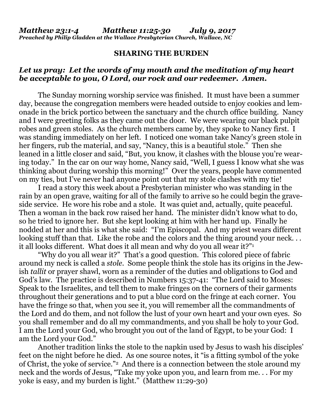## **SHARING THE BURDEN**

## *Let us pray: Let the words of my mouth and the meditation of my heart be acceptable to you, O Lord, our rock and our redeemer. Amen.*

The Sunday morning worship service was finished. It must have been a summer day, because the congregation members were headed outside to enjoy cookies and lemonade in the brick portico between the sanctuary and the church office building. Nancy and I were greeting folks as they came out the door. We were wearing our black pulpit robes and green stoles. As the church members came by, they spoke to Nancy first. I was standing immediately on her left. I noticed one woman take Nancy's green stole in her fingers, rub the material, and say, "Nancy, this is a beautiful stole." Then she leaned in a little closer and said, "But, you know, it clashes with the blouse you're wearing today." In the car on our way home, Nancy said, "Well, I guess I know what she was thinking about during worship this morning!" Over the years, people have commented on my ties, but I've never had anyone point out that my stole clashes with my tie!

I read a story this week about a Presbyterian minister who was standing in the rain by an open grave, waiting for all of the family to arrive so he could begin the graveside service. He wore his robe and a stole. It was quiet and, actually, quite peaceful. Then a woman in the back row raised her hand. The minister didn't know what to do, so he tried to ignore her. But she kept looking at him with her hand up. Finally he nodded at her and this is what she said: "I'm Episcopal. And my priest wears different looking stuff than that. Like the robe and the colors and the thing around your neck... it all looks different. What does it all mean and why do you all wear it?"<sup>1</sup>

"Why do you all wear it?" That's a good question. This colored piece of fabric around my neck is called a *stole*. Some people think the stole has its origins in the Jewish *tallit* or prayer shawl, worn as a reminder of the duties and obligations to God and God's law. The practice is described in Numbers 15:37-41: "The Lord said to Moses: Speak to the Israelites, and tell them to make fringes on the corners of their garments throughout their generations and to put a blue cord on the fringe at each corner. You have the fringe so that, when you see it, you will remember all the commandments of the Lord and do them, and not follow the lust of your own heart and your own eyes. So you shall remember and do all my commandments, and you shall be holy to your God. I am the Lord your God, who brought you out of the land of Egypt, to be your God: I am the Lord your God."

Another tradition links the stole to the napkin used by Jesus to wash his disciples' feet on the night before he died. As one source notes, it "is a fitting symbol of the yoke of Christ, the yoke of service."2 And there is a connection between the stole around my neck and the words of Jesus, "Take my yoke upon you, and learn from me. . . For my yoke is easy, and my burden is light." (Matthew 11:29-30)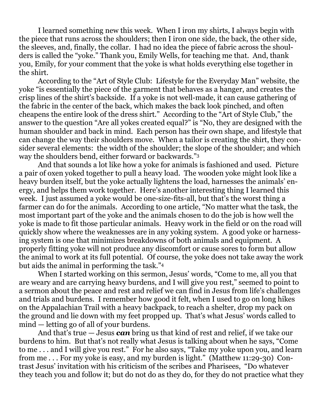I learned something new this week. When I iron my shirts, I always begin with the piece that runs across the shoulders; then I iron one side, the back, the other side, the sleeves, and, finally, the collar. I had no idea the piece of fabric across the shoulders is called the "yoke." Thank you, Emily Wells, for teaching me that. And, thank you, Emily, for your comment that the yoke is what holds everything else together in the shirt.

According to the "Art of Style Club: Lifestyle for the Everyday Man" website, the yoke "is essentially the piece of the garment that behaves as a hanger, and creates the crisp lines of the shirt's backside. If a yoke is not well-made, it can cause gathering of the fabric in the center of the back, which makes the back look pinched, and often cheapens the entire look of the dress shirt." According to the "Art of Style Club," the answer to the question "Are all yokes created equal?" is "No, they are designed with the human shoulder and back in mind. Each person has their own shape, and lifestyle that can change the way their shoulders move. When a tailor is creating the shirt, they consider several elements: the width of the shoulder; the slope of the shoulder; and which way the shoulders bend, either forward or backwards."<sup>3</sup>

And that sounds a lot like how a yoke for animals is fashioned and used. Picture a pair of oxen yoked together to pull a heavy load. The wooden yoke might look like a heavy burden itself, but the yoke actually lightens the load, harnesses the animals' energy, and helps them work together. Here's another interesting thing I learned this week. I just assumed a yoke would be one-size-fits-all, but that's the worst thing a farmer can do for the animals. According to one article, "No matter what the task, the most important part of the yoke and the animals chosen to do the job is how well the yoke is made to fit those particular animals. Heavy work in the field or on the road will quickly show where the weaknesses are in any yoking system. A good yoke or harnessing system is one that minimizes breakdowns of both animals and equipment. A properly fitting yoke will not produce any discomfort or cause sores to form but allow the animal to work at its full potential. Of course, the yoke does not take away the work but aids the animal in performing the task."<sup>4</sup>

When I started working on this sermon, Jesus' words, "Come to me, all you that are weary and are carrying heavy burdens, and I will give you rest," seemed to point to a sermon about the peace and rest and relief we can find in Jesus from life's challenges and trials and burdens. I remember how good it felt, when I used to go on long hikes on the Appalachian Trail with a heavy backpack, to reach a shelter, drop my pack on the ground and lie down with my feet propped up. That's what Jesus' words called to mind — letting go of all of your burdens.

And that's true — Jesus *can* bring us that kind of rest and relief, if we take our burdens to him. But that's not really what Jesus is talking about when he says, "Come to me . . . and I will give you rest." For he also says, "Take my yoke upon you, and learn from me . . . For my yoke is easy, and my burden is light." (Matthew 11:29-30) Contrast Jesus' invitation with his criticism of the scribes and Pharisees, "Do whatever they teach you and follow it; but do not do as they do, for they do not practice what they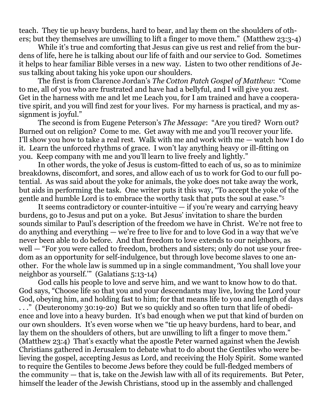teach. They tie up heavy burdens, hard to bear, and lay them on the shoulders of others; but they themselves are unwilling to lift a finger to move them." (Matthew 23:3-4)

While it's true and comforting that Jesus can give us rest and relief from the burdens of life, here he is talking about our life of faith and our service to God. Sometimes it helps to hear familiar Bible verses in a new way. Listen to two other renditions of Jesus talking about taking his yoke upon our shoulders.

The first is from Clarence Jordan's *The Cotton Patch Gospel of Matthew*: "Come to me, all of you who are frustrated and have had a bellyful, and I will give you zest. Get in the harness with me and let me Leach you, for I am trained and have a cooperative spirit, and you will find zest for your lives. For my harness is practical, and my assignment is joyful."

The second is from Eugene Peterson's *The Message*: "Are you tired? Worn out? Burned out on religion? Come to me. Get away with me and you'll recover your life. I'll show you how to take a real rest. Walk with me and work with me — watch how I do it. Learn the unforced rhythms of grace. I won't lay anything heavy or ill-fitting on you. Keep company with me and you'll learn to live freely and lightly."

In other words, the yoke of Jesus is custom-fitted to each of us, so as to minimize breakdowns, discomfort, and sores, and allow each of us to work for God to our full potential. As was said about the yoke for animals, the yoke does not take away the work, but aids in performing the task. One writer puts it this way, "To accept the yoke of the gentle and humble Lord is to embrace the worthy task that puts the soul at ease."<sup>5</sup>

It seems contradictory or counter-intuitive — if you're weary and carrying heavy burdens, go to Jesus and put on a yoke. But Jesus' invitation to share the burden sounds similar to Paul's description of the freedom we have in Christ. We're not free to do anything and everything  $-\overline{w}$  we're free to live for and to love God in a way that we've never been able to do before. And that freedom to love extends to our neighbors, as well — "For you were called to freedom, brothers and sisters; only do not use your freedom as an opportunity for self-indulgence, but through love become slaves to one another. For the whole law is summed up in a single commandment, 'You shall love your neighbor as yourself.'" (Galatians 5:13-14)

God calls his people to love and serve him, and we want to know how to do that. God says, "Choose life so that you and your descendants may live, loving the Lord your God, obeying him, and holding fast to him; for that means life to you and length of days . . ." (Deuteronomy 30:19-20) But we so quickly and so often turn that life of obedience and love into a heavy burden. It's bad enough when we put that kind of burden on our own shoulders. It's even worse when we "tie up heavy burdens, hard to bear, and lay them on the shoulders of others, but are unwilling to lift a finger to move them." (Matthew 23:4) That's exactly what the apostle Peter warned against when the Jewish Christians gathered in Jerusalem to debate what to do about the Gentiles who were believing the gospel, accepting Jesus as Lord, and receiving the Holy Spirit. Some wanted to require the Gentiles to become Jews before they could be full-fledged members of the community — that is, take on the Jewish law with all of its requirements. But Peter, himself the leader of the Jewish Christians, stood up in the assembly and challenged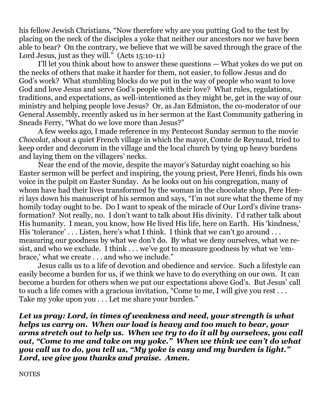his fellow Jewish Christians, "Now therefore why are you putting God to the test by placing on the neck of the disciples a yoke that neither our ancestors nor we have been able to bear? On the contrary, we believe that we will be saved through the grace of the Lord Jesus, just as they will." (Acts 15:10-11)

I'll let you think about how to answer these questions — What yokes do we put on the necks of others that make it harder for them, not easier, to follow Jesus and do God's work? What stumbling blocks do we put in the way of people who want to love God and love Jesus and serve God's people with their love? What rules, regulations, traditions, and expectations, as well-intentioned as they might be, get in the way of our ministry and helping people love Jesus? Or, as Jan Edmiston, the co-moderator of our General Assembly, recently asked us in her sermon at the East Community gathering in Sneads Ferry, "What do we love more than Jesus?"

A few weeks ago, I made reference in my Pentecost Sunday sermon to the movie *Chocolat*, about a quiet French village in which the mayor, Comte de Reynaud, tried to keep order and decorum in the village and the local church by tying up heavy burdens and laying them on the villagers' necks.

Near the end of the movie, despite the mayor's Saturday night coaching so his Easter sermon will be perfect and inspiring, the young priest, Pere Henri, finds his own voice in the pulpit on Easter Sunday. As he looks out on his congregation, many of whom have had their lives transformed by the woman in the chocolate shop, Pere Henri lays down his manuscript of his sermon and says, "I'm not sure what the theme of my homily today ought to be. Do I want to speak of the miracle of Our Lord's divine transformation? Not really, no. I don't want to talk about His divinity. I'd rather talk about His humanity. I mean, you know, how He lived His life, here on Earth. His 'kindness,' His 'tolerance' . . . Listen, here's what I think. I think that we can't go around . . . measuring our goodness by what we don't do. By what we deny ourselves, what we resist, and who we exclude. I think . . . we've got to measure goodness by what we 'embrace,' what we create . . . and who we include."

Jesus calls us to a life of devotion and obedience and service. Such a lifestyle can easily become a burden for us, if we think we have to do everything on our own. It can become a burden for others when we put our expectations above God's. But Jesus' call to such a life comes with a gracious invitation, "Come to me, I will give you rest . . . Take my yoke upon you . . . Let me share your burden."

*Let us pray: Lord, in times of weakness and need, your strength is what helps us carry on. When our load is heavy and too much to bear, your arms stretch out to help us. When we try to do it all by ourselves, you call out, "Come to me and take on my yoke." When we think we can't do what you call us to do, you tell us, "My yoke is easy and my burden is light." Lord, we give you thanks and praise. Amen.*

**NOTES**